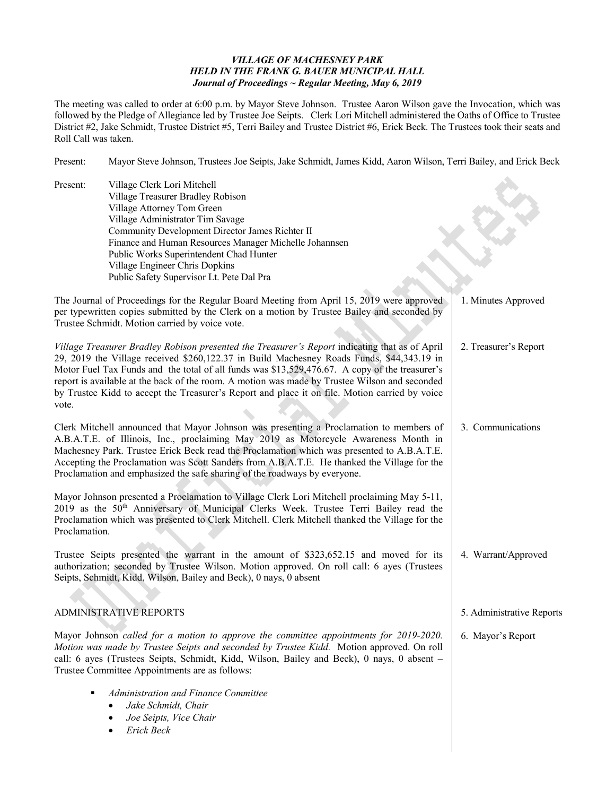## *VILLAGE OF MACHESNEY PARK HELD IN THE FRANK G. BAUER MUNICIPAL HALL Journal of Proceedings ~ Regular Meeting, May 6, 2019*

The meeting was called to order at 6:00 p.m. by Mayor Steve Johnson. Trustee Aaron Wilson gave the Invocation, which was followed by the Pledge of Allegiance led by Trustee Joe Seipts. Clerk Lori Mitchell administered the Oaths of Office to Trustee District #2, Jake Schmidt, Trustee District #5, Terri Bailey and Trustee District #6, Erick Beck. The Trustees took their seats and Roll Call was taken.

Present: Mayor Steve Johnson, Trustees Joe Seipts, Jake Schmidt, James Kidd, Aaron Wilson, Terri Bailey, and Erick Beck

Present: Village Clerk Lori Mitchell Village Treasurer Bradley Robison Village Attorney Tom Green Village Administrator Tim Savage Community Development Director James Richter II Finance and Human Resources Manager Michelle Johannsen Public Works Superintendent Chad Hunter Village Engineer Chris Dopkins Public Safety Supervisor Lt. Pete Dal Pra The Journal of Proceedings for the Regular Board Meeting from April 15, 2019 were approved per typewritten copies submitted by the Clerk on a motion by Trustee Bailey and seconded by Trustee Schmidt. Motion carried by voice vote. *Village Treasurer Bradley Robison presented the Treasurer's Report* indicating that as of April 29, 2019 the Village received \$260,122.37 in Build Machesney Roads Funds, \$44,343.19 in Motor Fuel Tax Funds and the total of all funds was \$13,529,476.67. A copy of the treasurer's report is available at the back of the room. A motion was made by Trustee Wilson and seconded by Trustee Kidd to accept the Treasurer's Report and place it on file. Motion carried by voice vote. Clerk Mitchell announced that Mayor Johnson was presenting a Proclamation to members of A.B.A.T.E. of Illinois, Inc., proclaiming May 2019 as Motorcycle Awareness Month in Machesney Park. Trustee Erick Beck read the Proclamation which was presented to A.B.A.T.E. Accepting the Proclamation was Scott Sanders from A.B.A.T.E. He thanked the Village for the Proclamation and emphasized the safe sharing of the roadways by everyone. Mayor Johnson presented a Proclamation to Village Clerk Lori Mitchell proclaiming May 5-11, 2019 as the 50<sup>th</sup> Anniversary of Municipal Clerks Week. Trustee Terri Bailey read the Proclamation which was presented to Clerk Mitchell. Clerk Mitchell thanked the Village for the Proclamation. Trustee Seipts presented the warrant in the amount of \$323,652.15 and moved for its authorization; seconded by Trustee Wilson. Motion approved. On roll call: 6 ayes (Trustees Seipts, Schmidt, Kidd, Wilson, Bailey and Beck), 0 nays, 0 absent ADMINISTRATIVE REPORTS Mayor Johnson *called for a motion to approve the committee appointments for 2019-2020. Motion was made by Trustee Seipts and seconded by Trustee Kidd.* Motion approved. On roll call: 6 ayes (Trustees Seipts, Schmidt, Kidd, Wilson, Bailey and Beck), 0 nays, 0 absent – Trustee Committee Appointments are as follows: *Administration and Finance Committee* • *Jake Schmidt, Chair* • *Joe Seipts, Vice Chair* • *Erick Beck* 1. Minutes Approved 2. Treasurer's Report 3. Communications 4. Warrant/Approved 5. Administrative Reports 6. Mayor's Report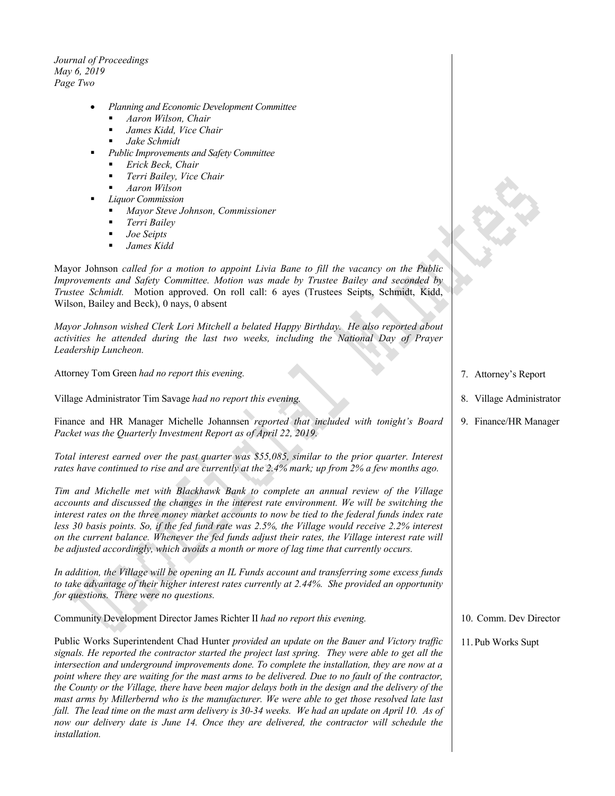*Journal of Proceedings May 6, 2019 Page Two*

- *Planning and Economic Development Committee*
	- *Aaron Wilson, Chair*
	- *James Kidd, Vice Chair*
	- *Jake Schmidt*
- *Public Improvements and Safety Committee*
	- *Erick Beck, Chair*
	- *Terri Bailey, Vice Chair*
	- *Aaron Wilson*
- *Liquor Commission*
	- *Mayor Steve Johnson, Commissioner*
	- *Terri Bailey*
	- *Joe Seipts*
	- *James Kidd*

Mayor Johnson *called for a motion to appoint Livia Bane to fill the vacancy on the Public Improvements and Safety Committee. Motion was made by Trustee Bailey and seconded by Trustee Schmidt.* Motion approved. On roll call: 6 ayes (Trustees Seipts, Schmidt, Kidd, Wilson, Bailey and Beck), 0 nays, 0 absent

*Mayor Johnson wished Clerk Lori Mitchell a belated Happy Birthday. He also reported about activities he attended during the last two weeks, including the National Day of Prayer Leadership Luncheon.*

Attorney Tom Green *had no report this evening.*

Village Administrator Tim Savage *had no report this evening.*

Finance and HR Manager Michelle Johannsen *reported that included with tonight's Board Packet was the Quarterly Investment Report as of April 22, 2019.*

*Total interest earned over the past quarter was \$55,085, similar to the prior quarter. Interest rates have continued to rise and are currently at the 2.4% mark; up from 2% a few months ago.*

*Tim and Michelle met with Blackhawk Bank to complete an annual review of the Village accounts and discussed the changes in the interest rate environment. We will be switching the interest rates on the three money market accounts to now be tied to the federal funds index rate*  less 30 basis points. So, if the fed fund rate was 2.5%, the Village would receive 2.2% interest *on the current balance. Whenever the fed funds adjust their rates, the Village interest rate will be adjusted accordingly, which avoids a month or more of lag time that currently occurs.*

*In addition, the Village will be opening an IL Funds account and transferring some excess funds to take advantage of their higher interest rates currently at 2.44%. She provided an opportunity for questions. There were no questions.*

Community Development Director James Richter II *had no report this evening.*

Public Works Superintendent Chad Hunter *provided an update on the Bauer and Victory traffic signals. He reported the contractor started the project last spring. They were able to get all the intersection and underground improvements done. To complete the installation, they are now at a point where they are waiting for the mast arms to be delivered. Due to no fault of the contractor, the County or the Village, there have been major delays both in the design and the delivery of the mast arms by Millerbernd who is the manufacturer. We were able to get those resolved late last fall. The lead time on the mast arm delivery is 30-34 weeks. We had an update on April 10. As of now our delivery date is June 14. Once they are delivered, the contractor will schedule the installation.*

- 7. Attorney's Report
- 8. Village Administrator
- 9. Finance/HR Manager

- 10. Comm. Dev Director
- 11.Pub Works Supt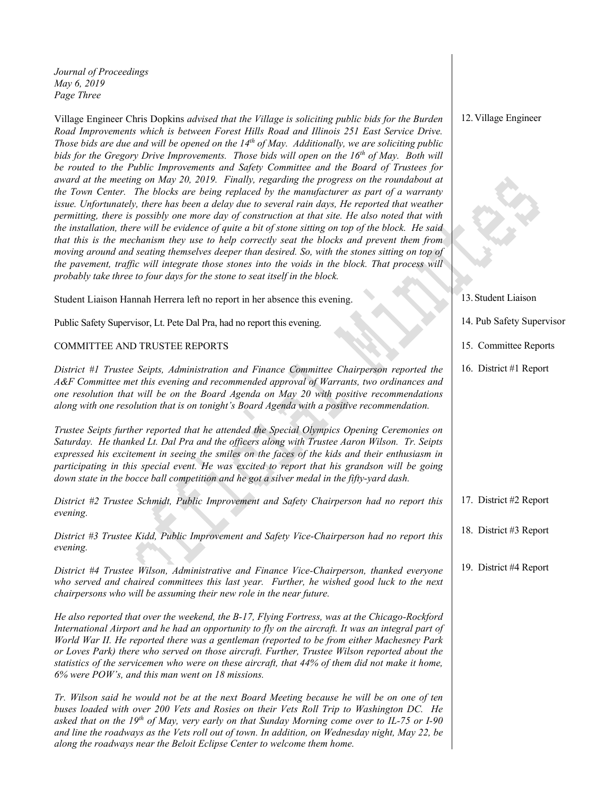*Journal of Proceedings May 6, 2019 Page Three*

Village Engineer Chris Dopkins *advised that the Village is soliciting public bids for the Burden Road Improvements which is between Forest Hills Road and Illinois 251 East Service Drive. Those bids are due and will be opened on the 14th of May. Additionally, we are soliciting public bids for the Gregory Drive Improvements. Those bids will open on the 16th of May. Both will be routed to the Public Improvements and Safety Committee and the Board of Trustees for award at the meeting on May 20, 2019. Finally, regarding the progress on the roundabout at the Town Center. The blocks are being replaced by the manufacturer as part of a warranty issue. Unfortunately, there has been a delay due to several rain days, He reported that weather permitting, there is possibly one more day of construction at that site. He also noted that with the installation, there will be evidence of quite a bit of stone sitting on top of the block. He said that this is the mechanism they use to help correctly seat the blocks and prevent them from moving around and seating themselves deeper than desired. So, with the stones sitting on top of the pavement, traffic will integrate those stones into the voids in the block. That process will probably take three to four days for the stone to seat itself in the block.*

Student Liaison Hannah Herrera left no report in her absence this evening.

Public Safety Supervisor, Lt. Pete Dal Pra, had no report this evening.

## COMMITTEE AND TRUSTEE REPORTS

*District #1 Trustee Seipts, Administration and Finance Committee Chairperson reported the A&F Committee met this evening and recommended approval of Warrants, two ordinances and one resolution that will be on the Board Agenda on May 20 with positive recommendations along with one resolution that is on tonight's Board Agenda with a positive recommendation.* 

*Trustee Seipts further reported that he attended the Special Olympics Opening Ceremonies on Saturday. He thanked Lt. Dal Pra and the officers along with Trustee Aaron Wilson. Tr. Seipts expressed his excitement in seeing the smiles on the faces of the kids and their enthusiasm in participating in this special event. He was excited to report that his grandson will be going down state in the bocce ball competition and he got a silver medal in the fifty-yard dash.* 

*District #2 Trustee Schmidt, Public Improvement and Safety Chairperson had no report this evening.*

*District #3 Trustee Kidd, Public Improvement and Safety Vice-Chairperson had no report this evening.*

*District #4 Trustee Wilson, Administrative and Finance Vice-Chairperson, thanked everyone*  who served and chaired committees this last year. Further, he wished good luck to the next *chairpersons who will be assuming their new role in the near future.*

*He also reported that over the weekend, the B-17, Flying Fortress, was at the Chicago-Rockford International Airport and he had an opportunity to fly on the aircraft. It was an integral part of World War II. He reported there was a gentleman (reported to be from either Machesney Park or Loves Park) there who served on those aircraft. Further, Trustee Wilson reported about the statistics of the servicemen who were on these aircraft, that 44% of them did not make it home, 6% were POW's, and this man went on 18 missions.*

*Tr. Wilson said he would not be at the next Board Meeting because he will be on one of ten buses loaded with over 200 Vets and Rosies on their Vets Roll Trip to Washington DC. He asked that on the 19th of May, very early on that Sunday Morning come over to IL-75 or I-90 and line the roadways as the Vets roll out of town. In addition, on Wednesday night, May 22, be along the roadways near the Beloit Eclipse Center to welcome them home.*

## 12.Village Engineer



13.Student Liaison

- 14. Pub Safety Supervisor
- 15. Committee Reports
- 16. District #1 Report

- 17. District #2 Report
- 18. District #3 Report
- 19. District #4 Report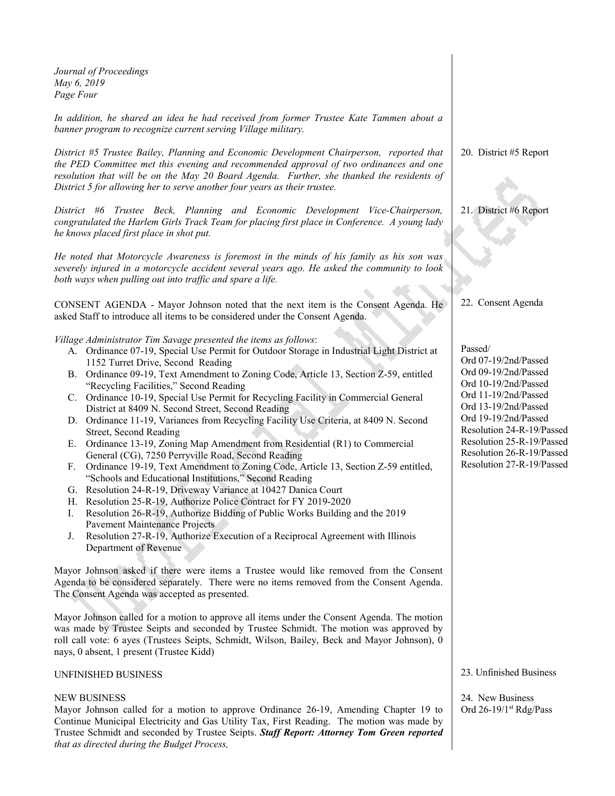| Journal of Proceedings<br>May 6, 2019<br>Page Four                                                                                                                                                                                                                                                                                                                                                                                                                                                                                                                                                                                                                                                                                                                                                                                                                                                                                                                                                                                                                                                                                                                                                                                                                                         |                                                                                                                                                                                                                                                                             |
|--------------------------------------------------------------------------------------------------------------------------------------------------------------------------------------------------------------------------------------------------------------------------------------------------------------------------------------------------------------------------------------------------------------------------------------------------------------------------------------------------------------------------------------------------------------------------------------------------------------------------------------------------------------------------------------------------------------------------------------------------------------------------------------------------------------------------------------------------------------------------------------------------------------------------------------------------------------------------------------------------------------------------------------------------------------------------------------------------------------------------------------------------------------------------------------------------------------------------------------------------------------------------------------------|-----------------------------------------------------------------------------------------------------------------------------------------------------------------------------------------------------------------------------------------------------------------------------|
| In addition, he shared an idea he had received from former Trustee Kate Tammen about a<br>banner program to recognize current serving Village military.                                                                                                                                                                                                                                                                                                                                                                                                                                                                                                                                                                                                                                                                                                                                                                                                                                                                                                                                                                                                                                                                                                                                    |                                                                                                                                                                                                                                                                             |
| District #5 Trustee Bailey, Planning and Economic Development Chairperson, reported that<br>the PED Committee met this evening and recommended approval of two ordinances and one<br>resolution that will be on the May 20 Board Agenda. Further, she thanked the residents of<br>District 5 for allowing her to serve another four years as their trustee.                                                                                                                                                                                                                                                                                                                                                                                                                                                                                                                                                                                                                                                                                                                                                                                                                                                                                                                                | 20. District #5 Report                                                                                                                                                                                                                                                      |
| District #6 Trustee Beck, Planning and Economic Development Vice-Chairperson,<br>congratulated the Harlem Girls Track Team for placing first place in Conference. A young lady<br>he knows placed first place in shot put.                                                                                                                                                                                                                                                                                                                                                                                                                                                                                                                                                                                                                                                                                                                                                                                                                                                                                                                                                                                                                                                                 | 21. District #6 Report                                                                                                                                                                                                                                                      |
| He noted that Motorcycle Awareness is foremost in the minds of his family as his son was<br>severely injured in a motorcycle accident several years ago. He asked the community to look<br>both ways when pulling out into traffic and spare a life.                                                                                                                                                                                                                                                                                                                                                                                                                                                                                                                                                                                                                                                                                                                                                                                                                                                                                                                                                                                                                                       |                                                                                                                                                                                                                                                                             |
| CONSENT AGENDA - Mayor Johnson noted that the next item is the Consent Agenda. He<br>asked Staff to introduce all items to be considered under the Consent Agenda.                                                                                                                                                                                                                                                                                                                                                                                                                                                                                                                                                                                                                                                                                                                                                                                                                                                                                                                                                                                                                                                                                                                         | 22. Consent Agenda                                                                                                                                                                                                                                                          |
| Village Administrator Tim Savage presented the items as follows:<br>A. Ordinance 07-19, Special Use Permit for Outdoor Storage in Industrial Light District at<br>1152 Turret Drive, Second Reading<br>B. Ordinance 09-19, Text Amendment to Zoning Code, Article 13, Section Z-59, entitled<br>"Recycling Facilities," Second Reading<br>C. Ordinance 10-19, Special Use Permit for Recycling Facility in Commercial General<br>District at 8409 N. Second Street, Second Reading<br>D. Ordinance 11-19, Variances from Recycling Facility Use Criteria, at 8409 N. Second<br>Street, Second Reading<br>Ordinance 13-19, Zoning Map Amendment from Residential (R1) to Commercial<br>Е.<br>General (CG), 7250 Perryville Road, Second Reading<br>Ordinance 19-19, Text Amendment to Zoning Code, Article 13, Section Z-59 entitled,<br>F.<br>"Schools and Educational Institutions," Second Reading<br>G. Resolution 24-R-19, Driveway Variance at 10427 Danica Court<br>H. Resolution 25-R-19, Authorize Police Contract for FY 2019-2020<br>Resolution 26-R-19, Authorize Bidding of Public Works Building and the 2019<br>I.<br><b>Pavement Maintenance Projects</b><br>Resolution 27-R-19, Authorize Execution of a Reciprocal Agreement with Illinois<br>J.<br>Department of Revenue | Passed/<br>Ord 07-19/2nd/Passed<br>Ord 09-19/2nd/Passed<br>Ord 10-19/2nd/Passed<br>Ord 11-19/2nd/Passed<br>Ord 13-19/2nd/Passed<br>Ord 19-19/2nd/Passed<br>Resolution 24-R-19/Passed<br>Resolution 25-R-19/Passed<br>Resolution 26-R-19/Passed<br>Resolution 27-R-19/Passed |
| Mayor Johnson asked if there were items a Trustee would like removed from the Consent<br>Agenda to be considered separately. There were no items removed from the Consent Agenda.<br>The Consent Agenda was accepted as presented.                                                                                                                                                                                                                                                                                                                                                                                                                                                                                                                                                                                                                                                                                                                                                                                                                                                                                                                                                                                                                                                         |                                                                                                                                                                                                                                                                             |
| Mayor Johnson called for a motion to approve all items under the Consent Agenda. The motion<br>was made by Trustee Seipts and seconded by Trustee Schmidt. The motion was approved by<br>roll call vote: 6 ayes (Trustees Seipts, Schmidt, Wilson, Bailey, Beck and Mayor Johnson), 0<br>nays, 0 absent, 1 present (Trustee Kidd)                                                                                                                                                                                                                                                                                                                                                                                                                                                                                                                                                                                                                                                                                                                                                                                                                                                                                                                                                          |                                                                                                                                                                                                                                                                             |
| UNFINISHED BUSINESS                                                                                                                                                                                                                                                                                                                                                                                                                                                                                                                                                                                                                                                                                                                                                                                                                                                                                                                                                                                                                                                                                                                                                                                                                                                                        | 23. Unfinished Business                                                                                                                                                                                                                                                     |
| <b>NEW BUSINESS</b><br>Mayor Johnson called for a motion to approve Ordinance 26-19, Amending Chapter 19 to<br>Continue Municipal Electricity and Gas Utility Tax, First Reading. The motion was made by<br>Trustee Schmidt and seconded by Trustee Seipts. Staff Report: Attorney Tom Green reported                                                                                                                                                                                                                                                                                                                                                                                                                                                                                                                                                                                                                                                                                                                                                                                                                                                                                                                                                                                      | 24. New Business<br>Ord 26-19/1st Rdg/Pass                                                                                                                                                                                                                                  |

*that as directed during the Budget Process,*